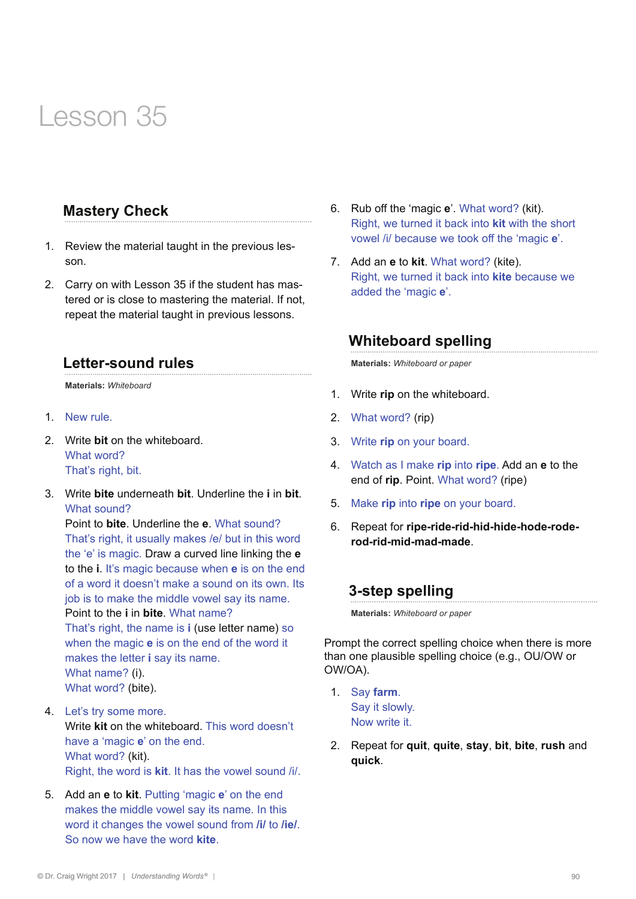#### **Mastery Check**

- 1. Review the material taught in the previous lesson.
- 2. Carry on with Lesson 35 if the student has mastered or is close to mastering the material. If not, repeat the material taught in previous lessons.

#### **Letter-sound rules**

**Materials:** *Whiteboard* 

- 1. New rule.
- 2. Write **bit** on the whiteboard. What word? That's right, bit.
- 3. Write **bite** underneath **bit**. Underline the **i** in **bit**. What sound?

Point to **bite**. Underline the **e**. What sound? That's right, it usually makes /e/ but in this word the 'e' is magic. Draw a curved line linking the **e** to the **i**. It's magic because when **e** is on the end of a word it doesn't make a sound on its own. Its job is to make the middle vowel say its name. Point to the **i** in **bite**. What name? That's right, the name is **i** (use letter name) so when the magic **e** is on the end of the word it makes the letter **i** say its name. What name? (i). What word? (bite).

- 4. Let's try some more. Write **kit** on the whiteboard. This word doesn't have a 'magic **e**' on the end. What word? (kit). Right, the word is **kit**. It has the vowel sound /i/.
- 5. Add an **e** to **kit**. Putting 'magic **e**' on the end makes the middle vowel say its name. In this word it changes the vowel sound from **/i/** to **/ie/**. So now we have the word **kite**.
- 6. Rub off the 'magic **e**'. What word? (kit). Right, we turned it back into **kit** with the short vowel /i/ because we took off the 'magic **e**'.
- 7. Add an **e** to **kit**. What word? (kite). Right, we turned it back into **kite** because we added the 'magic **e**'.

#### **Whiteboard spelling**

**Materials:** *Whiteboard or paper*

- 1. Write **rip** on the whiteboard.
- 2. What word? (rip)
- 3. Write **rip** on your board.
- 4. Watch as I make **rip** into **ripe**. Add an **e** to the end of **rip**. Point. What word? (ripe)
- 5. Make **rip** into **ripe** on your board.
- 6. Repeat for **ripe-ride-rid-hid-hide-hode-roderod-rid-mid-mad-made**.

## **3-step spelling**

**Materials:** *Whiteboard or paper*

Prompt the correct spelling choice when there is more than one plausible spelling choice (e.g., OU/OW or OW/OA).

- 1. Say **farm**. Say it slowly. Now write it.
- 2. Repeat for **quit**, **quite**, **stay**, **bit**, **bite**, **rush** and **quick**.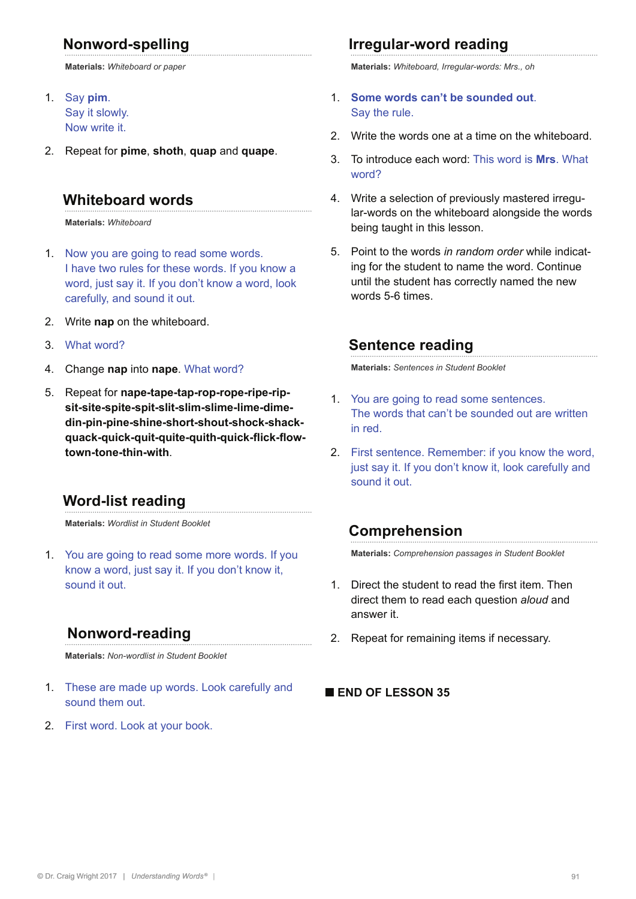## **Nonword-spelling**

**Materials:** *Whiteboard or paper*

- 1. Say **pim**. Say it slowly. Now write it.
- 2. Repeat for **pime**, **shoth**, **quap** and **quape**.

#### **Whiteboard words**

**Materials:** *Whiteboard*

- 1. Now you are going to read some words. I have two rules for these words. If you know a word, just say it. If you don't know a word, look carefully, and sound it out.
- 2. Write **nap** on the whiteboard.
- 3. What word?
- 4. Change **nap** into **nape**. What word?
- 5. Repeat for **nape-tape-tap-rop-rope-ripe-ripsit-site-spite-spit-slit-slim-slime-lime-dimedin-pin-pine-shine-short-shout-shock-shackquack-quick-quit-quite-quith-quick-flick-flowtown-tone-thin-with**.

#### **Word-list reading**

**Materials:** *Wordlist in Student Booklet*

1. You are going to read some more words. If you know a word, just say it. If you don't know it, sound it out.

#### **Nonword-reading**

**Materials:** *Non-wordlist in Student Booklet*

- 1. These are made up words. Look carefully and sound them out.
- 2. First word. Look at your book.

#### **Irregular-word reading**

**Materials:** *Whiteboard, Irregular-words: Mrs., oh*

- 1. **Some words can't be sounded out**. Say the rule.
- 2. Write the words one at a time on the whiteboard.
- 3. To introduce each word: This word is **Mrs**. What word?
- 4. Write a selection of previously mastered irregular-words on the whiteboard alongside the words being taught in this lesson.
- 5. Point to the words *in random order* while indicating for the student to name the word. Continue until the student has correctly named the new words 5-6 times.

#### **Sentence reading**

**Materials:** *Sentences in Student Booklet*

- 1. You are going to read some sentences. The words that can't be sounded out are written in red.
- 2. First sentence. Remember: if you know the word, just say it. If you don't know it, look carefully and sound it out.

#### **Comprehension**

**Materials:** *Comprehension passages in Student Booklet*

- 1. Direct the student to read the first item. Then direct them to read each question *aloud* and answer it.
- 2. Repeat for remaining items if necessary.

#### **■ END OF LESSON 35**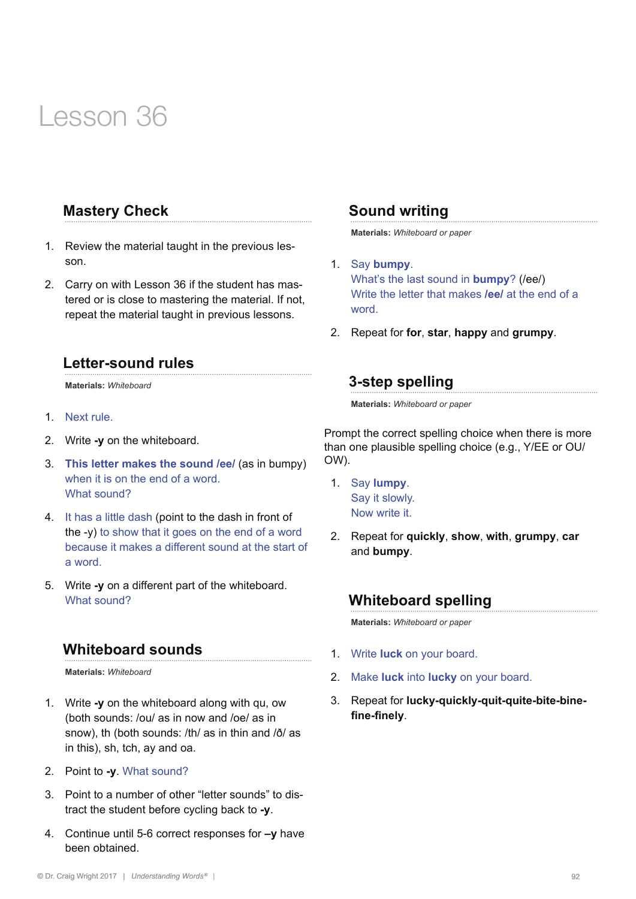#### **Mastery Check**

- 1. Review the material taught in the previous lesson.
- 2. Carry on with Lesson 36 if the student has mastered or is close to mastering the material. If not, repeat the material taught in previous lessons.

#### **Letter-sound rules**

**Materials:** *Whiteboard* 

- 1. Next rule.
- 2. Write **-y** on the whiteboard.
- 3. **This letter makes the sound /ee/** (as in bumpy) when it is on the end of a word. What sound?
- 4. It has a little dash (point to the dash in front of the -y) to show that it goes on the end of a word because it makes a different sound at the start of a word.
- 5. Write **-y** on a different part of the whiteboard. What sound?

#### **Whiteboard sounds**

**Materials:** *Whiteboard* 

- 1. Write **-y** on the whiteboard along with qu, ow (both sounds: /ou/ as in now and /oe/ as in snow), th (both sounds: /th/ as in thin and /ð/ as in this), sh, tch, ay and oa.
- 2. Point to **-y**. What sound?
- 3. Point to a number of other "letter sounds" to distract the student before cycling back to **-y**.
- 4. Continue until 5-6 correct responses for **–y** have been obtained.

#### **Sound writing**

**Materials:** *Whiteboard or paper*

- 1. Say **bumpy**. What's the last sound in **bumpy**? (/ee/) Write the letter that makes **/ee/** at the end of a word.
- 2. Repeat for **for**, **star**, **happy** and **grumpy**.

#### **3-step spelling**

**Materials:** *Whiteboard or paper*

Prompt the correct spelling choice when there is more than one plausible spelling choice (e.g., Y/EE or OU/ OW).

- 1. Say **lumpy**. Say it slowly. Now write it.
- 2. Repeat for **quickly**, **show**, **with**, **grumpy**, **car** and **bumpy**.

#### **Whiteboard spelling**

**Materials:** *Whiteboard or paper*

- 1. Write **luck** on your board.
- 2. Make **luck** into **lucky** on your board.
- 3. Repeat for **lucky-quickly-quit-quite-bite-binefine-finely**.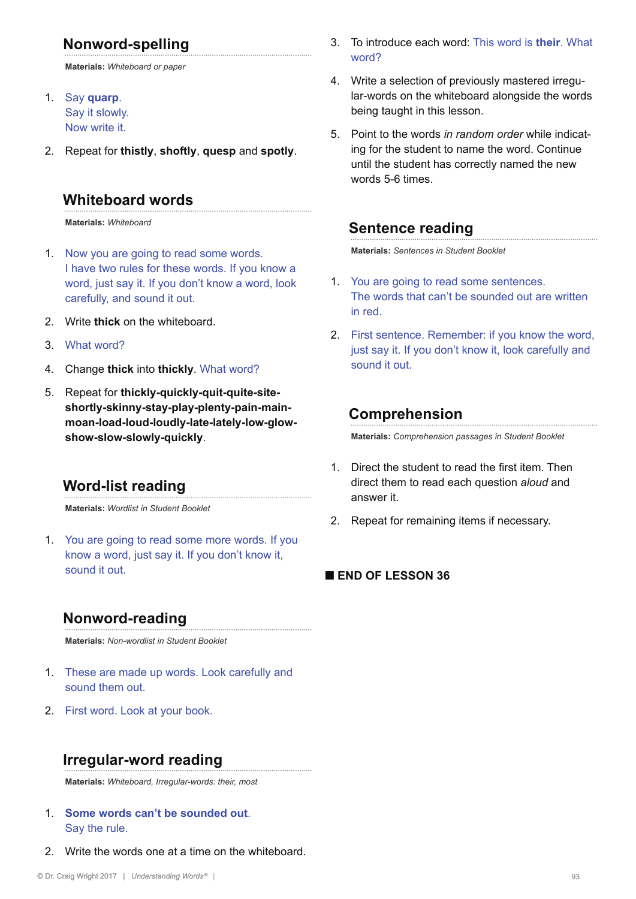## **Nonword-spelling**

**Materials:** *Whiteboard or paper*

- 1. Say **quarp**. Say it slowly. Now write it.
- 2. Repeat for **thistly**, **shoftly**, **quesp** and **spotly**.

#### **Whiteboard words**

**Materials:** *Whiteboard*

- 1. Now you are going to read some words. I have two rules for these words. If you know a word, just say it. If you don't know a word, look carefully, and sound it out.
- 2. Write **thick** on the whiteboard.
- 3. What word?
- 4. Change **thick** into **thickly**. What word?
- 5. Repeat for **thickly-quickly-quit-quite-siteshortly-skinny-stay-play-plenty-pain-mainmoan-load-loud-loudly-late-lately-low-glowshow-slow-slowly-quickly**.

#### **Word-list reading**

**Materials:** *Wordlist in Student Booklet*

1. You are going to read some more words. If you know a word, just say it. If you don't know it, sound it out.

## **Nonword-reading**

**Materials:** *Non-wordlist in Student Booklet*

- 1. These are made up words. Look carefully and sound them out.
- 2. First word. Look at your book.

## **Irregular-word reading**

**Materials:** *Whiteboard, Irregular-words: their, most*

- 1. **Some words can't be sounded out**. Say the rule.
- 2. Write the words one at a time on the whiteboard.
- 3. To introduce each word: This word is **their**. What word?
- 4. Write a selection of previously mastered irregular-words on the whiteboard alongside the words being taught in this lesson.
- 5. Point to the words *in random order* while indicating for the student to name the word. Continue until the student has correctly named the new words 5-6 times.

#### **Sentence reading**

**Materials:** *Sentences in Student Booklet*

- 1. You are going to read some sentences. The words that can't be sounded out are written in red.
- 2. First sentence. Remember: if you know the word, just say it. If you don't know it, look carefully and sound it out.

#### **Comprehension**

**Materials:** *Comprehension passages in Student Booklet*

- 1. Direct the student to read the first item. Then direct them to read each question *aloud* and answer it.
- 2. Repeat for remaining items if necessary.

#### **■ END OF LESSON 36**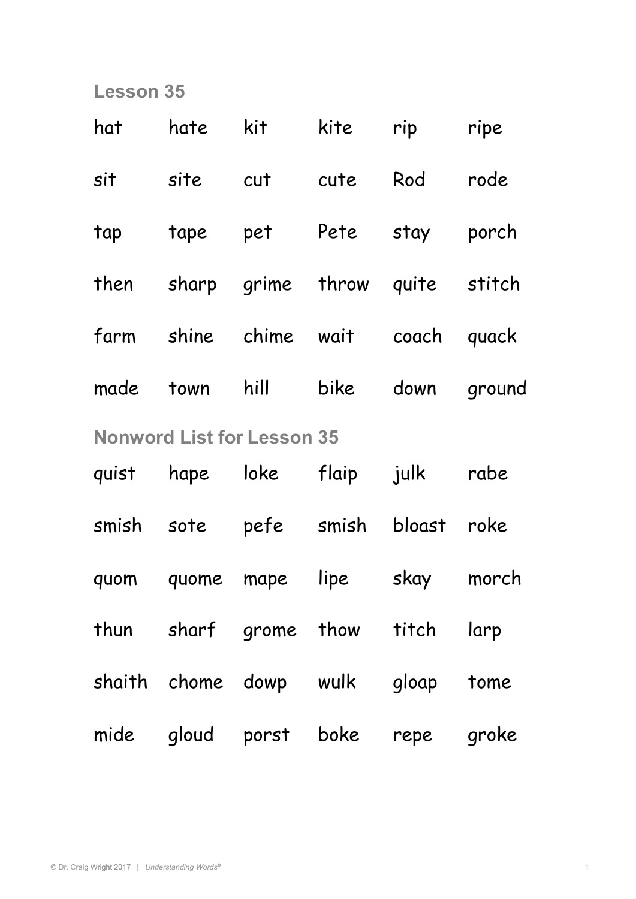| hat                               | hate                   | kit  | kite  | rip                          | ripe   |  |  |
|-----------------------------------|------------------------|------|-------|------------------------------|--------|--|--|
| sit                               | site                   | cut  | cute  | Rod                          | rode   |  |  |
| tap                               | tape                   | pet  | Pete  | stay                         | porch  |  |  |
|                                   | then sharp grime throw |      |       | quite stitch                 |        |  |  |
|                                   |                        |      |       | farm shine chime wait coach  | quack  |  |  |
| made                              | town                   | hill | bike  | down                         | ground |  |  |
| <b>Nonword List for Lesson 35</b> |                        |      |       |                              |        |  |  |
| quist                             | hape                   | loke | flaip | julk                         | rabe   |  |  |
|                                   | smish sote pefe smish  |      |       | bloast                       | roke   |  |  |
|                                   | quom quome mape        |      | lipe  | skay                         | morch  |  |  |
|                                   |                        |      |       | thun sharf grome thow titch  | larp   |  |  |
|                                   |                        |      |       | shaith chome dowp wulk gloap | tome   |  |  |
|                                   | mide gloud porst boke  |      |       | repe                         | groke  |  |  |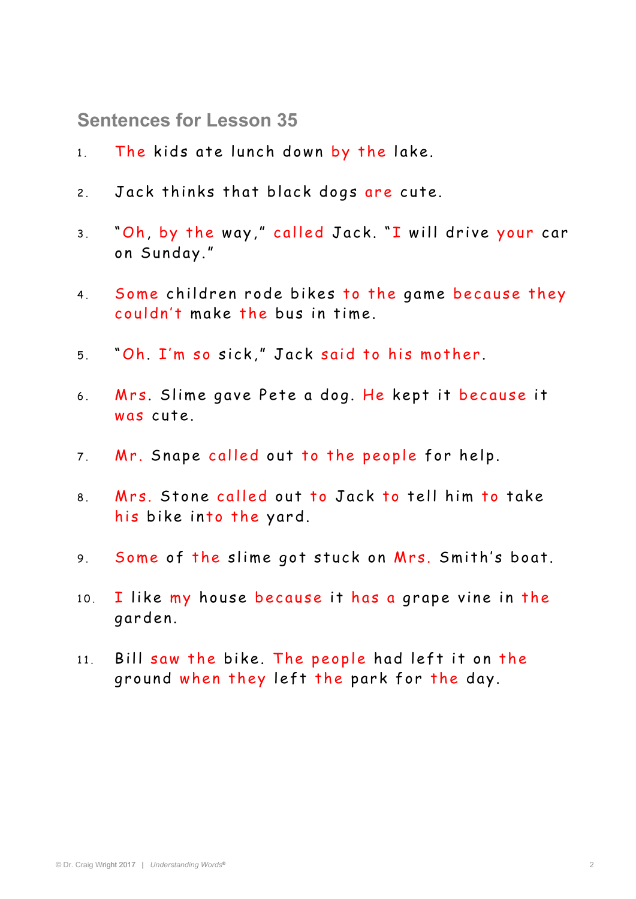**Sentences for Lesson 35** 

- 1. The kids ate lunch down by the lake.
- 2. Jack thinks that black dogs are cute.
- 3. "Oh, by the way," called Jack. "I will drive your car on Sunday."
- 4. Some children rode bikes to the game because they couldn't make the bus in time.
- 5. "Oh. I'm so sick," Jack said to his mother.
- 6. Mrs. Slime gave Pete a dog. He kept it because it was cute.
- 7. Mr. Snape called out to the people for help.
- 8. Mrs. Stone called out to Jack to tell him to take his bike into the yard.
- 9. Some of the slime got stuck on Mrs. Smith's boat.
- $10.$  I like my house because it has a grape vine in the garden.
- $11.$  Bill saw the bike. The people had left it on the ground when they left the park for the day.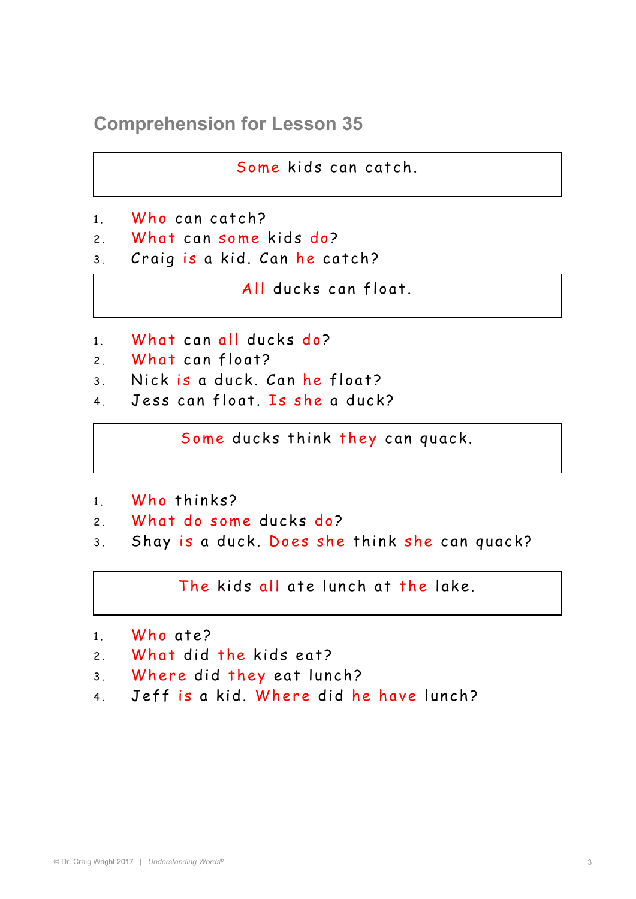**Comprehension for Lesson 35** 

Some kids can catch.

- 1 Who can catch?
- 2 What can some kids do?
- 3. Craig is a kid. Can he catch?

All ducks can float.

- 1. What can all ducks do?
- 2 What can float?
- 3. Nick is a duck. Can he float?
- 4. Jess can float. Is she a duck?

Some ducks think they can quack.

- 1 Who thinks?
- 2. What do some ducks do?
- 3. Shay is a duck. Does she think she can quack?

The kids all ate lunch at the lake.

- 1. Who ate?
- 2. What did the kids eat?
- 3. Where did they eat lunch?
- 4. Jeff is a kid. Where did he have lunch?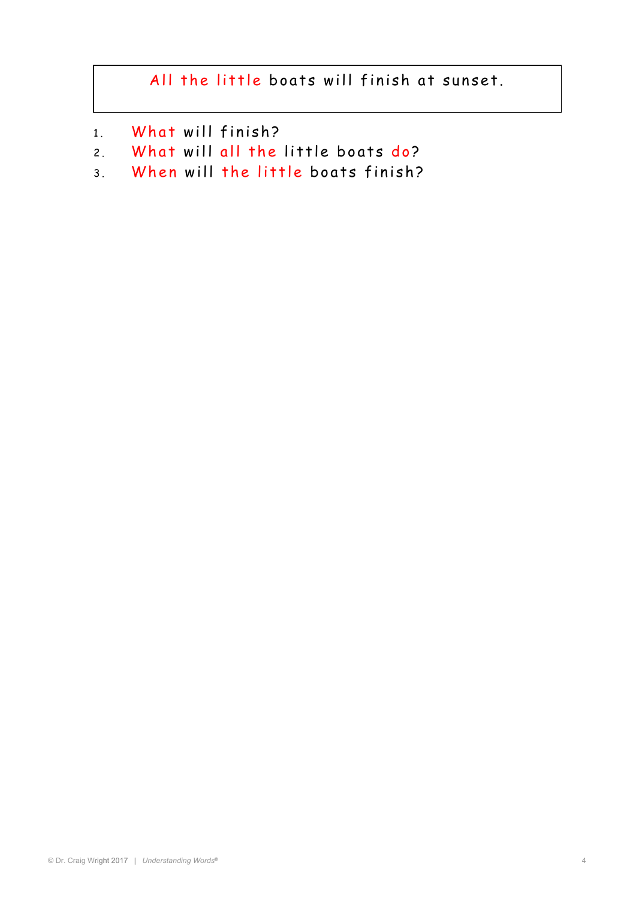## All the little boats will finish at sunset.

- 1. What will finish?
- 2. What will all the little boats do?
- 3. When will the little boats finish?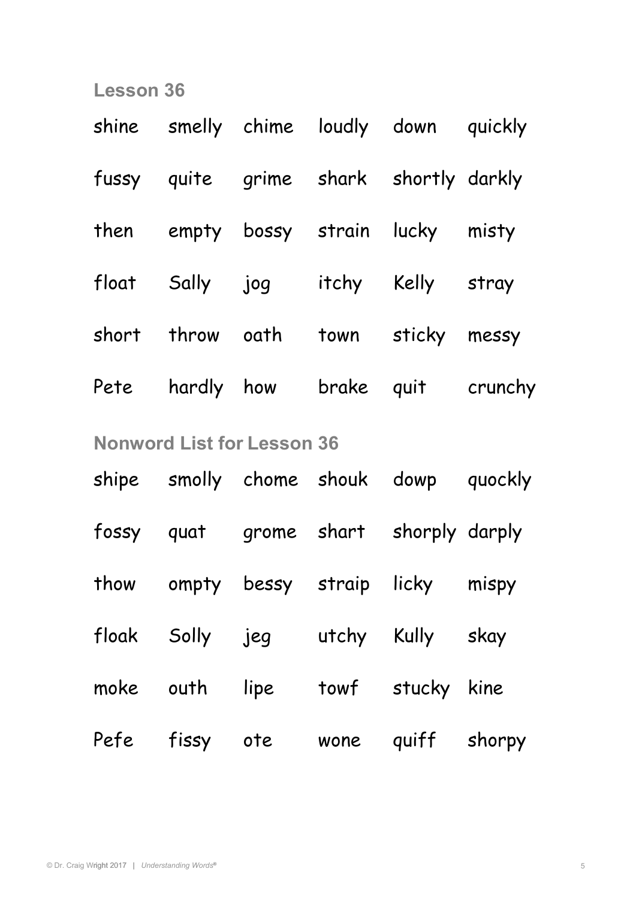|                                   |                |  |  | shine smelly chime loudly down quickly |                                    |  |  |  |
|-----------------------------------|----------------|--|--|----------------------------------------|------------------------------------|--|--|--|
|                                   |                |  |  | fussy quite grime shark shortly darkly |                                    |  |  |  |
|                                   |                |  |  | then empty bossy strain lucky misty    |                                    |  |  |  |
|                                   |                |  |  | float Sally jog itchy Kelly stray      |                                    |  |  |  |
|                                   |                |  |  | short throw oath town sticky messy     |                                    |  |  |  |
|                                   |                |  |  |                                        | Pete hardly how brake quit crunchy |  |  |  |
| <b>Nonword List for Lesson 36</b> |                |  |  |                                        |                                    |  |  |  |
|                                   |                |  |  | shipe smolly chome shouk dowp quockly  |                                    |  |  |  |
|                                   |                |  |  | fossy quat grome shart shorply darply  |                                    |  |  |  |
|                                   |                |  |  | thow ompty bessy straip licky mispy    |                                    |  |  |  |
|                                   |                |  |  | floak Solly jeg utchy Kully skay       |                                    |  |  |  |
|                                   |                |  |  | moke outh lipe towf stucky kine        |                                    |  |  |  |
|                                   | Pefe fissy ote |  |  | wone quiff shorpy                      |                                    |  |  |  |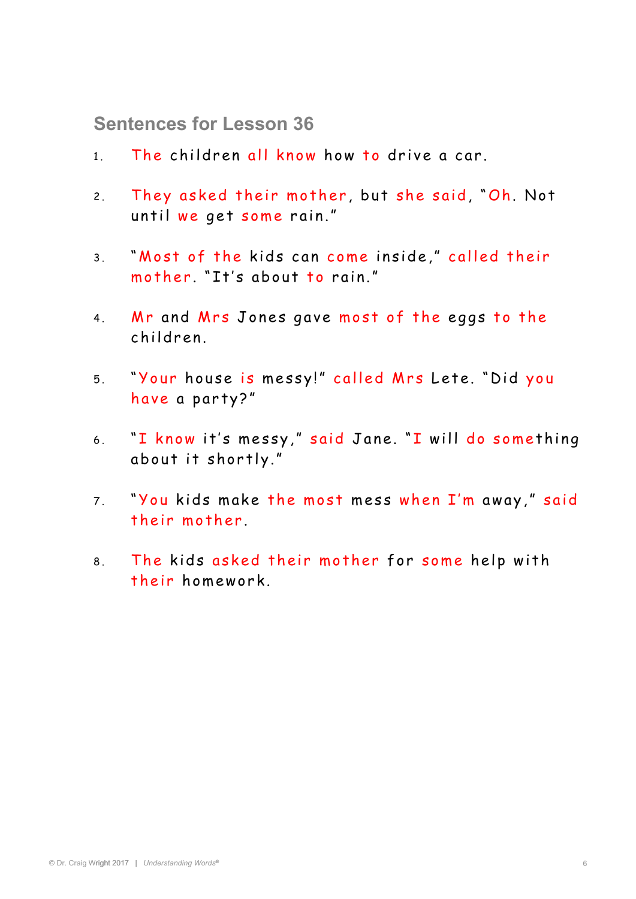**Sentences for Lesson 36** 

- 1. The children all know how to drive a car.
- 2. They asked their mother, but she said, "Oh. Not until we get some rain."
- 3. "Most of the kids can come inside," called their mother. "It's about to rain."
- 4. Mr and Mrs Jones gave most of the eggs to the children.
- 5. "Your house is messy!" called Mrs Lete. "Did you have a party?"
- 6. "I know it's messy," said Jane. "I will do something about it shortly."
- 7. "You kids make the most mess when I'm away," said their mother
- 8. The kids asked their mother for some help with their homework.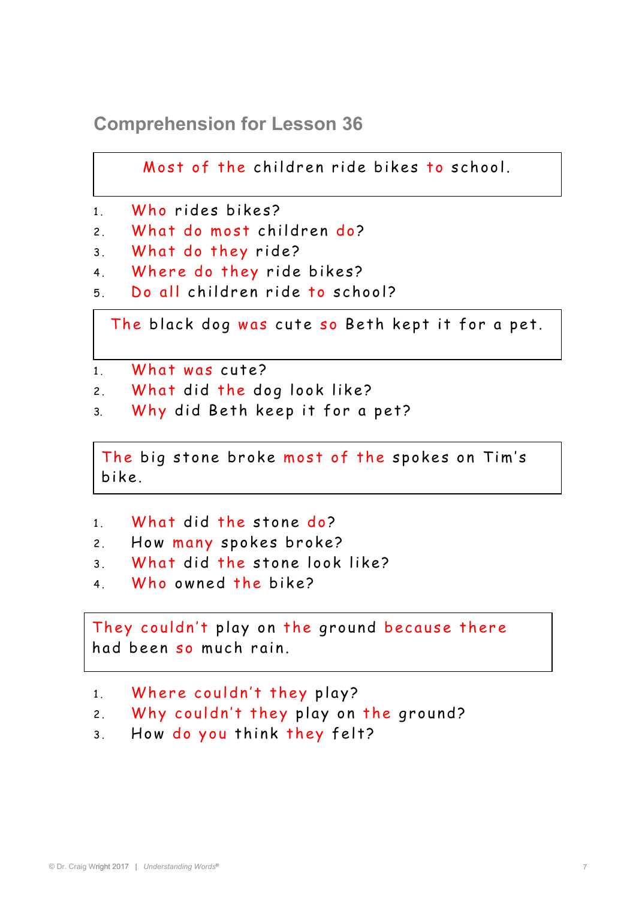**Comprehension for Lesson 36** 

Most of the children ride bikes to school.

```
1 . Who rides bikes?
```
- 2. What do most children do?
- 3. What do they ride?
- 4. Where do they ride bikes?
- 5 Do all children ride to school?

The black dog was cute so Beth kept it for a pet.

```
1 What was cute?
```
- 2. What did the dog look like?
- 3. Why did Beth keep it for a pet?

The big stone broke most of the spokes on Tim's<br>Like bik e.

- 1. What did the stone do?
- 2. How many spokes broke?
- 3 . What did the stone look like?
- 4 Who owned the bike?

They couldn't play on the ground because there had been so much rain.

- 1. Where couldn't they play?
- 2. Why couldn't they play on the ground?
- 3. How do you think they felt?